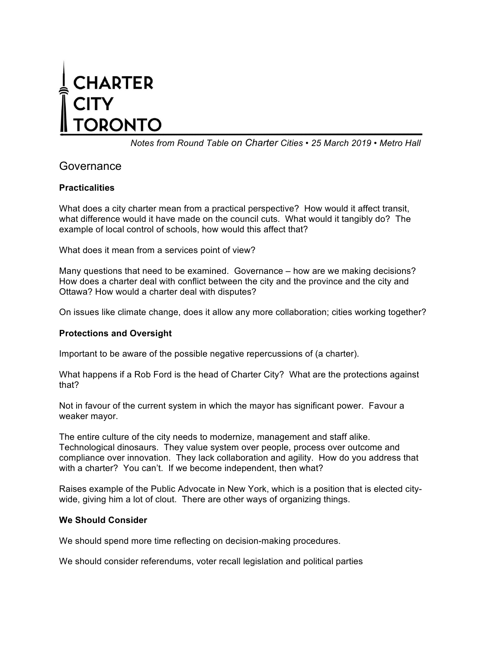# **CHARTER RONTO**

*Notes from Round Table on Charter Cities • 25 March 2019 • Metro Hall*

## Governance

## **Practicalities**

What does a city charter mean from a practical perspective? How would it affect transit, what difference would it have made on the council cuts. What would it tangibly do? The example of local control of schools, how would this affect that?

What does it mean from a services point of view?

Many questions that need to be examined. Governance – how are we making decisions? How does a charter deal with conflict between the city and the province and the city and Ottawa? How would a charter deal with disputes?

On issues like climate change, does it allow any more collaboration; cities working together?

## **Protections and Oversight**

Important to be aware of the possible negative repercussions of (a charter).

What happens if a Rob Ford is the head of Charter City? What are the protections against that?

Not in favour of the current system in which the mayor has significant power. Favour a weaker mayor.

The entire culture of the city needs to modernize, management and staff alike. Technological dinosaurs. They value system over people, process over outcome and compliance over innovation. They lack collaboration and agility. How do you address that with a charter? You can't. If we become independent, then what?

Raises example of the Public Advocate in New York, which is a position that is elected citywide, giving him a lot of clout. There are other ways of organizing things.

## **We Should Consider**

We should spend more time reflecting on decision-making procedures.

We should consider referendums, voter recall legislation and political parties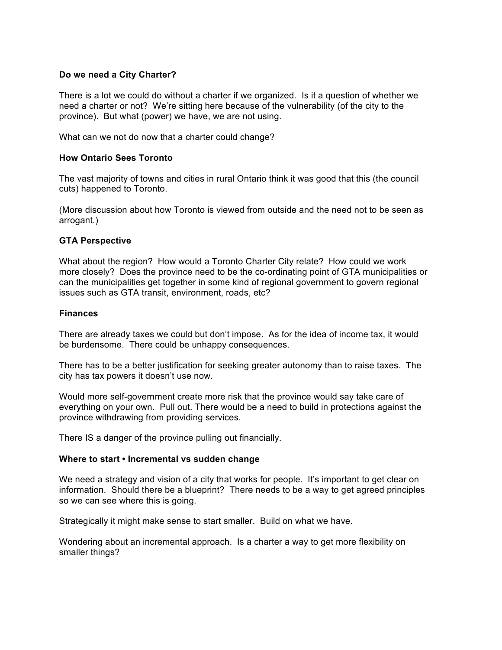#### **Do we need a City Charter?**

There is a lot we could do without a charter if we organized. Is it a question of whether we need a charter or not? We're sitting here because of the vulnerability (of the city to the province). But what (power) we have, we are not using.

What can we not do now that a charter could change?

#### **How Ontario Sees Toronto**

The vast majority of towns and cities in rural Ontario think it was good that this (the council cuts) happened to Toronto.

(More discussion about how Toronto is viewed from outside and the need not to be seen as arrogant.)

#### **GTA Perspective**

What about the region? How would a Toronto Charter City relate? How could we work more closely? Does the province need to be the co-ordinating point of GTA municipalities or can the municipalities get together in some kind of regional government to govern regional issues such as GTA transit, environment, roads, etc?

#### **Finances**

There are already taxes we could but don't impose. As for the idea of income tax, it would be burdensome. There could be unhappy consequences.

There has to be a better justification for seeking greater autonomy than to raise taxes. The city has tax powers it doesn't use now.

Would more self-government create more risk that the province would say take care of everything on your own. Pull out. There would be a need to build in protections against the province withdrawing from providing services.

There IS a danger of the province pulling out financially.

#### **Where to start • Incremental vs sudden change**

We need a strategy and vision of a city that works for people. It's important to get clear on information. Should there be a blueprint? There needs to be a way to get agreed principles so we can see where this is going.

Strategically it might make sense to start smaller. Build on what we have.

Wondering about an incremental approach. Is a charter a way to get more flexibility on smaller things?